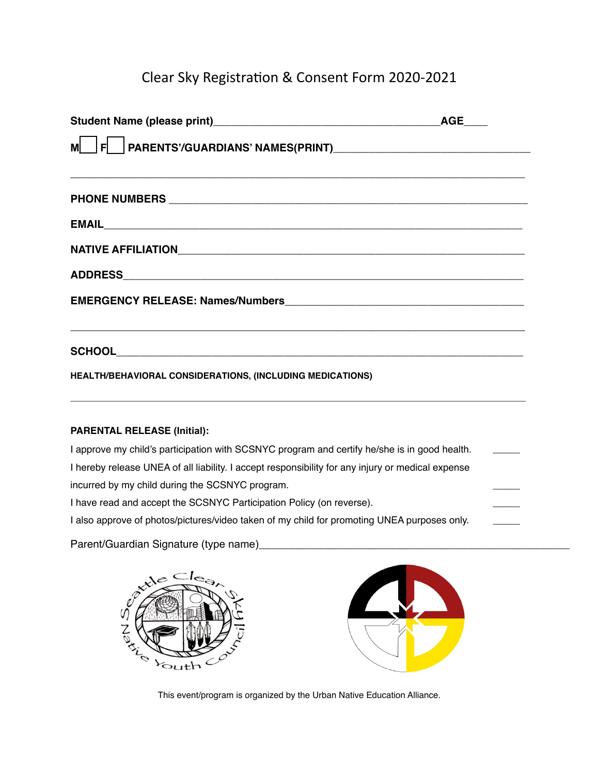## Clear Sky Registration & Consent Form 2020-2021

|                                                                                                                                                                                    | <b>AGE</b> |
|------------------------------------------------------------------------------------------------------------------------------------------------------------------------------------|------------|
|                                                                                                                                                                                    |            |
|                                                                                                                                                                                    |            |
|                                                                                                                                                                                    |            |
|                                                                                                                                                                                    |            |
|                                                                                                                                                                                    |            |
|                                                                                                                                                                                    |            |
|                                                                                                                                                                                    |            |
| HEALTH/BEHAVIORAL CONSIDERATIONS, (INCLUDING MEDICATIONS)<br><u> 1989 - Johann Stoff, deutscher Stoffen und der Stoffen und der Stoffen und der Stoffen und der Stoffen und de</u> |            |
| <b>PARENTAL RELEASE (Initial):</b>                                                                                                                                                 |            |
| I approve my child's participation with SCSNYC program and certify he/she is in good health.                                                                                       |            |
| I hereby release UNEA of all liability. I accept responsibility for any injury or medical expense                                                                                  |            |
| incurred by my child during the SCSNYC program.                                                                                                                                    |            |
| I have read and accept the SCSNYC Participation Policy (on reverse).                                                                                                               |            |
| I also approve of photos/pictures/video taken of my child for promoting UNEA purposes only.                                                                                        |            |

Parent/Guardian Signature (type name)





This event/program is organized by the Urban Native Education Alliance.